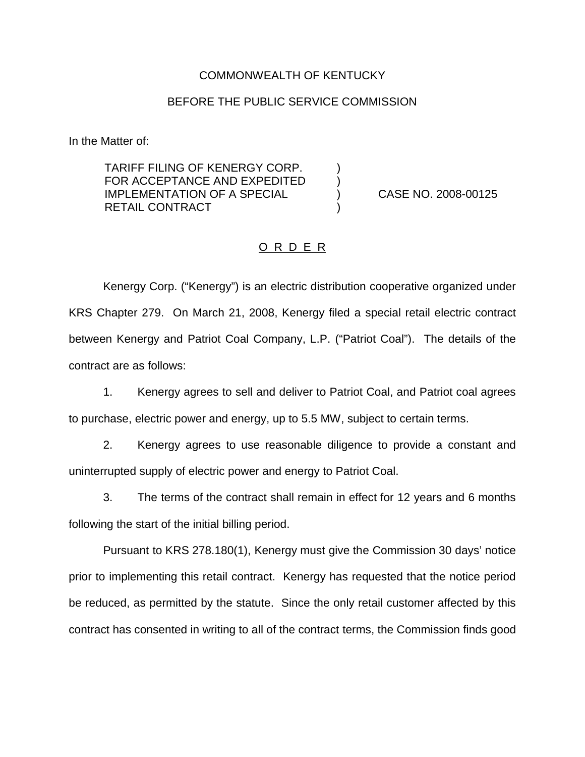## COMMONWEALTH OF KENTUCKY

## BEFORE THE PUBLIC SERVICE COMMISSION

In the Matter of:

TARIFF FILING OF KENERGY CORP. FOR ACCEPTANCE AND EXPEDITED  $\qquad$  ) IMPLEMENTATION OF A SPECIAL ) CASE NO. 2008-00125 RETAIL CONTRACT

## O R D E R

Kenergy Corp. ("Kenergy") is an electric distribution cooperative organized under KRS Chapter 279. On March 21, 2008, Kenergy filed a special retail electric contract between Kenergy and Patriot Coal Company, L.P. ("Patriot Coal"). The details of the contract are as follows:

1. Kenergy agrees to sell and deliver to Patriot Coal, and Patriot coal agrees to purchase, electric power and energy, up to 5.5 MW, subject to certain terms.

2. Kenergy agrees to use reasonable diligence to provide a constant and uninterrupted supply of electric power and energy to Patriot Coal.

3. The terms of the contract shall remain in effect for 12 years and 6 months following the start of the initial billing period.

Pursuant to KRS 278.180(1), Kenergy must give the Commission 30 days' notice prior to implementing this retail contract. Kenergy has requested that the notice period be reduced, as permitted by the statute. Since the only retail customer affected by this contract has consented in writing to all of the contract terms, the Commission finds good